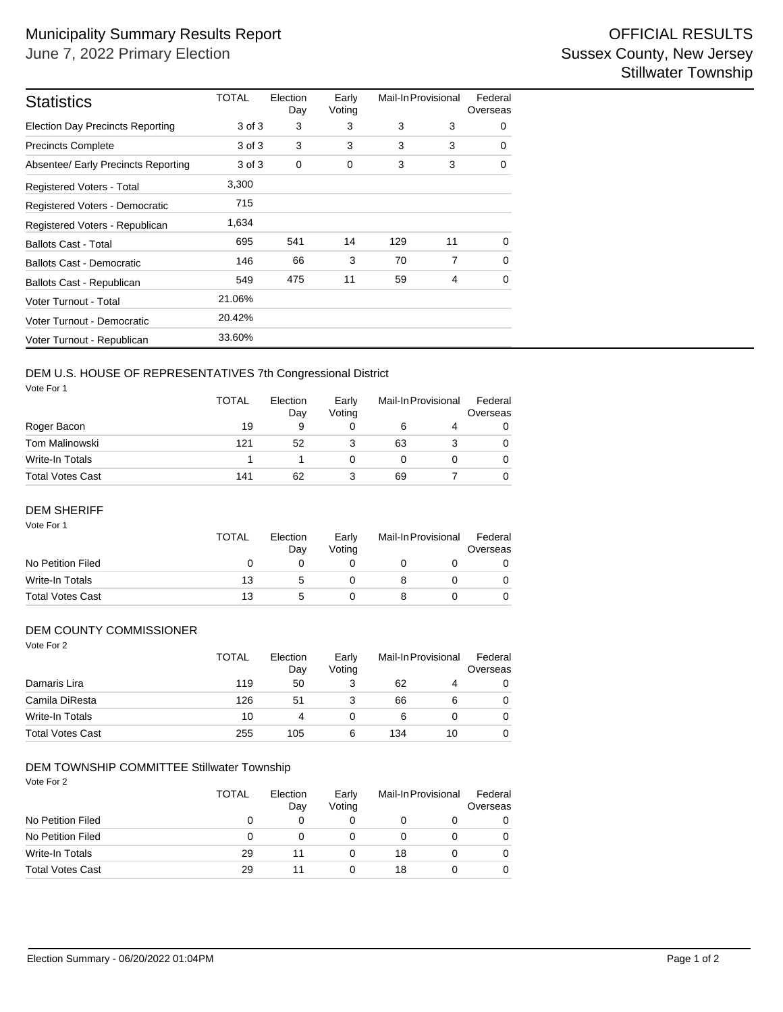| <b>Statistics</b>                       | TOTAL  | Election<br>Day | Early<br>Voting | Mail-In Provisional |    | Federal<br>Overseas |  |
|-----------------------------------------|--------|-----------------|-----------------|---------------------|----|---------------------|--|
| <b>Election Day Precincts Reporting</b> | 3 of 3 | 3               | 3               | 3                   | 3  | 0                   |  |
| <b>Precincts Complete</b>               | 3 of 3 | 3               | 3               | 3                   | 3  | 0                   |  |
| Absentee/ Early Precincts Reporting     | 3 of 3 | $\mathbf 0$     | 0               | 3                   | 3  | 0                   |  |
| <b>Registered Voters - Total</b>        | 3,300  |                 |                 |                     |    |                     |  |
| Registered Voters - Democratic          | 715    |                 |                 |                     |    |                     |  |
| Registered Voters - Republican          | 1,634  |                 |                 |                     |    |                     |  |
| <b>Ballots Cast - Total</b>             | 695    | 541             | 14              | 129                 | 11 | $\Omega$            |  |
| <b>Ballots Cast - Democratic</b>        | 146    | 66              | 3               | 70                  | 7  | $\mathbf 0$         |  |
| Ballots Cast - Republican               | 549    | 475             | 11              | 59                  | 4  | 0                   |  |
| Voter Turnout - Total                   | 21.06% |                 |                 |                     |    |                     |  |
| Voter Turnout - Democratic              | 20.42% |                 |                 |                     |    |                     |  |
| Voter Turnout - Republican              | 33.60% |                 |                 |                     |    |                     |  |

# DEM U.S. HOUSE OF REPRESENTATIVES 7th Congressional District

Vote For 1

|                         | <b>TOTAL</b> | Election<br>Day<br>9 | Early<br>Votina | Mail-In Provisional |  | Federal<br>Overseas |  |
|-------------------------|--------------|----------------------|-----------------|---------------------|--|---------------------|--|
| Roger Bacon             | 19           |                      |                 | 6                   |  | 0                   |  |
| <b>Tom Malinowski</b>   | 121          | 52                   |                 | 63                  |  | 0                   |  |
| Write-In Totals         |              |                      |                 |                     |  | 0                   |  |
| <b>Total Votes Cast</b> | 141          | 62                   |                 | 69                  |  |                     |  |

### DEM SHERIFF

| Vote For 1              | <b>TOTAL</b> | Election<br>Day | Early<br>Voting | Mail-In Provisional |  | Federal<br>Overseas |
|-------------------------|--------------|-----------------|-----------------|---------------------|--|---------------------|
| No Petition Filed       | O            |                 |                 |                     |  |                     |
| Write-In Totals         | 13           |                 |                 |                     |  |                     |
| <b>Total Votes Cast</b> | 13           | 5               |                 |                     |  |                     |

## DEM COUNTY COMMISSIONER

| Vote For 2              | <b>TOTAL</b> | Election<br>Day | Early<br>Voting | Mail-In Provisional |    | Federal<br>Overseas |  |
|-------------------------|--------------|-----------------|-----------------|---------------------|----|---------------------|--|
| Damaris Lira            | 119          | 50              | 3               | 62                  | 4  | 0                   |  |
| Camila DiResta          | 126          | 51              | 3               | 66                  | 6  | 0                   |  |
| Write-In Totals         | 10           | 4               | 0               | 6                   |    | 0                   |  |
| <b>Total Votes Cast</b> | 255          | 105             | 6               | 134                 | 10 | 0                   |  |

## DEM TOWNSHIP COMMITTEE Stillwater Township

| Vote For 2              | <b>TOTAL</b> | Election<br>Day | Early<br>Voting | Mail-In Provisional |   | Federal<br>Overseas |
|-------------------------|--------------|-----------------|-----------------|---------------------|---|---------------------|
| No Petition Filed       | 0            | 0               | 0               |                     | 0 |                     |
| No Petition Filed       | 0            | 0               | 0               |                     | 0 |                     |
| Write-In Totals         | 29           | 11              | 0               | 18                  | 0 |                     |
| <b>Total Votes Cast</b> | 29           | 11              | 0               | 18                  | 0 |                     |